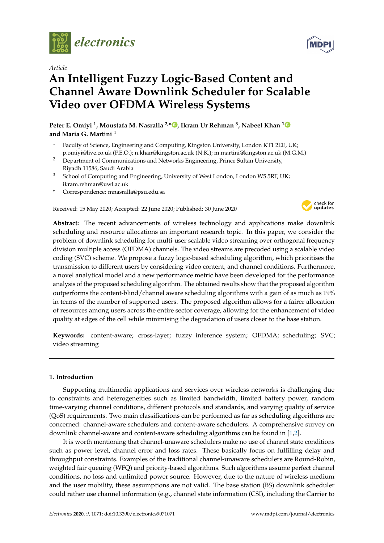

*Article*

# **An Intelligent Fuzzy Logic-Based Content and Channel Aware Downlink Scheduler for Scalable Video over OFDMA Wireless Systems**

**Peter E. Omiyi <sup>1</sup> , Moustafa M. Nasralla 2,[\\*](https://orcid.org/0000-0002-6511-1460) , Ikram Ur Rehman <sup>3</sup> , Nabeel Khan [1](https://orcid.org/0000-0002-2873-4554) and Maria G. Martini <sup>1</sup>**

- <sup>1</sup> Faculty of Science, Engineering and Computing, Kingston University, London KT1 2EE, UK; p.omiyi@live.co.uk (P.E.O.); n.khan@kingston.ac.uk (N.K.); m.martini@kingston.ac.uk (M.G.M.)
- <sup>2</sup> Department of Communications and Networks Engineering, Prince Sultan University, Riyadh 11586, Saudi Arabia
- <sup>3</sup> School of Computing and Engineering, University of West London, London W5 5RF, UK; ikram.rehman@uwl.ac.uk
- **\*** Correspondence: mnasralla@psu.edu.sa

Received: 15 May 2020; Accepted: 22 June 2020; Published: 30 June 2020



**Abstract:** The recent advancements of wireless technology and applications make downlink scheduling and resource allocations an important research topic. In this paper, we consider the problem of downlink scheduling for multi-user scalable video streaming over orthogonal frequency division multiple access (OFDMA) channels. The video streams are precoded using a scalable video coding (SVC) scheme. We propose a fuzzy logic-based scheduling algorithm, which prioritises the transmission to different users by considering video content, and channel conditions. Furthermore, a novel analytical model and a new performance metric have been developed for the performance analysis of the proposed scheduling algorithm. The obtained results show that the proposed algorithm outperforms the content-blind/channel aware scheduling algorithms with a gain of as much as 19% in terms of the number of supported users. The proposed algorithm allows for a fairer allocation of resources among users across the entire sector coverage, allowing for the enhancement of video quality at edges of the cell while minimising the degradation of users closer to the base station.

**Keywords:** content-aware; cross-layer; fuzzy inference system; OFDMA; scheduling; SVC; video streaming

# <span id="page-0-0"></span>**1. Introduction**

Supporting multimedia applications and services over wireless networks is challenging due to constraints and heterogeneities such as limited bandwidth, limited battery power, random time-varying channel conditions, different protocols and standards, and varying quality of service (QoS) requirements. Two main classifications can be performed as far as scheduling algorithms are concerned: channel-aware schedulers and content-aware schedulers. A comprehensive survey on downlink channel-aware and content-aware scheduling algorithms can be found in [\[1](#page-17-0)[,2\]](#page-17-1).

It is worth mentioning that channel-unaware schedulers make no use of channel state conditions such as power level, channel error and loss rates. These basically focus on fulfilling delay and throughput constraints. Examples of the traditional channel-unaware schedulers are Round-Robin, weighted fair queuing (WFQ) and priority-based algorithms. Such algorithms assume perfect channel conditions, no loss and unlimited power source. However, due to the nature of wireless medium and the user mobility, these assumptions are not valid. The base station (BS) downlink scheduler could rather use channel information (e.g., channel state information (CSI), including the Carrier to

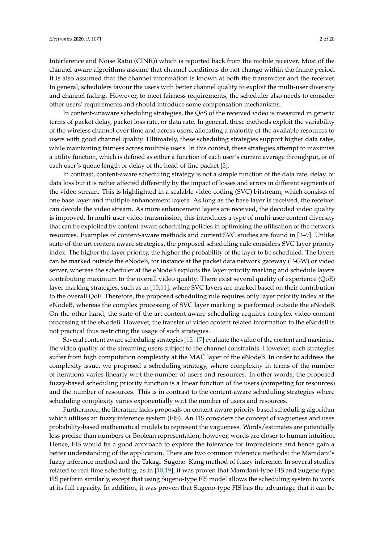Interference and Noise Ratio (CINR)) which is reported back from the mobile receiver. Most of the channel-aware algorithms assume that channel conditions do not change within the frame period. It is also assumed that the channel information is known at both the transmitter and the receiver. In general, schedulers favour the users with better channel quality to exploit the multi-user diversity and channel fading. However, to meet fairness requirements, the scheduler also needs to consider

other users' requirements and should introduce some compensation mechanisms. In content-unaware scheduling strategies, the QoS of the received video is measured in generic terms of packet delay, packet loss rate, or data rate. In general, these methods exploit the variability of the wireless channel over time and across users, allocating a majority of the available resources to users with good channel quality. Ultimately, these scheduling strategies support higher data rates, while maintaining fairness across multiple users. In this context, these strategies attempt to maximise a utility function, which is defined as either a function of each user's current average throughput, or of each user's queue length or delay of the head-of-line packet [\[2\]](#page-17-1).

In contrast, content-aware scheduling strategy is not a simple function of the data rate, delay, or data loss but it is rather affected differently by the impact of losses and errors in different segments of the video stream. This is highlighted in a scalable video coding (SVC) bitstream, which consists of one base layer and multiple enhancement layers. As long as the base layer is received, the receiver can decode the video stream. As more enhancement layers are received, the decoded video quality is improved. In multi-user video transmission, this introduces a type of multi-user content diversity that can be exploited by content-aware scheduling policies in optimising the utilisation of the network resources. Examples of content-aware methods and current SVC studies are found in [\[2](#page-17-1)[–9\]](#page-17-2). Unlike state-of-the-art content aware strategies, the proposed scheduling rule considers SVC layer priority index. The higher the layer priority, the higher the probability of the layer to be scheduled. The layers can be marked outside the eNodeB, for instance at the packet data network gateway (P-GW) or video server, whereas the scheduler at the eNodeB exploits the layer priority marking and schedule layers contributing maximum to the overall video quality. There exist several quality of experience (QoE) layer marking strategies, such as in [\[10](#page-17-3)[,11\]](#page-17-4), where SVC layers are marked based on their contribution to the overall QoE. Therefore, the proposed scheduling rule requires only layer priority index at the eNodeB, whereas the complex processing of SVC layer marking is performed outside the eNodeB. On the other hand, the state-of-the-art content aware scheduling requires complex video content processing at the eNodeB. However, the transfer of video content related information to the eNodeB is not practical thus restricting the usage of such strategies.

Several content aware scheduling strategies [\[12–](#page-17-5)[17\]](#page-18-0) evaluate the value of the content and maximise the video quality of the streaming users subject to the channel constraints. However, such strategies suffer from high computation complexity at the MAC layer of the eNodeB. In order to address the complexity issue, we proposed a scheduling strategy, where complexity in terms of the number of iterations varies linearly w.r.t the number of users and resources. In other words, the proposed fuzzy-based scheduling priority function is a linear function of the users (competing for resources) and the number of resources. This is in contrast to the content-aware scheduling strategies where scheduling complexity varies exponentially w.r.t the number of users and resources.

Furthermore, the literature lacks proposals on content-aware priority-based scheduling algorithm which utilises an fuzzy inference system (FIS). An FIS considers the concept of vagueness and uses probability-based mathematical models to represent the vagueness. Words/estimates are potentially less precise than numbers or Boolean representation; however, words are closer to human intuition. Hence, FIS would be a good approach to explore the tolerance for imprecisions and hence gain a better understanding of the application. There are two common inference methods: the Mamdani's fuzzy inference method and the Takagi–Sugeno–Kang method of fuzzy inference. In several studies related to real time scheduling, as in [\[18,](#page-18-1)[19\]](#page-18-2), it was proven that Mamdani-type FIS and Sugeno-type FIS perform similarly, except that using Sugeno-type FIS model allows the scheduling system to work at its full capacity. In addition, it was proven that Sugeno-type FIS has the advantage that it can be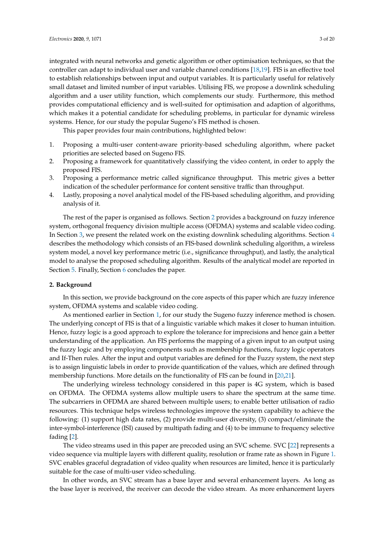integrated with neural networks and genetic algorithm or other optimisation techniques, so that the controller can adapt to individual user and variable channel conditions [\[18,](#page-18-1)[19\]](#page-18-2). FIS is an effective tool to establish relationships between input and output variables. It is particularly useful for relatively small dataset and limited number of input variables. Utilising FIS, we propose a downlink scheduling algorithm and a user utility function, which complements our study. Furthermore, this method provides computational efficiency and is well-suited for optimisation and adaption of algorithms, which makes it a potential candidate for scheduling problems, in particular for dynamic wireless systems. Hence, for our study the popular Sugeno's FIS method is chosen.

This paper provides four main contributions, highlighted below:

- 1. Proposing a multi-user content-aware priority-based scheduling algorithm, where packet priorities are selected based on Sugeno FIS.
- 2. Proposing a framework for quantitatively classifying the video content, in order to apply the proposed FIS.
- 3. Proposing a performance metric called significance throughput. This metric gives a better indication of the scheduler performance for content sensitive traffic than throughput.
- 4. Lastly, proposing a novel analytical model of the FIS-based scheduling algorithm, and providing analysis of it.

The rest of the paper is organised as follows. Section [2](#page-2-0) provides a background on fuzzy inference system, orthogonal frequency division multiple access (OFDMA) systems and scalable video coding. In Section [3,](#page-3-0) we present the related work on the existing downlink scheduling algorithms. Section [4](#page-6-0) describes the methodology which consists of an FIS-based downlink scheduling algorithm, a wireless system model, a novel key performance metric (i.e., significance throughput), and lastly, the analytical model to analyse the proposed scheduling algorithm. Results of the analytical model are reported in Section [5.](#page-12-0) Finally, Section [6](#page-16-0) concludes the paper.

## <span id="page-2-0"></span>**2. Background**

In this section, we provide background on the core aspects of this paper which are fuzzy inference system, OFDMA systems and scalable video coding.

As mentioned earlier in Section [1,](#page-0-0) for our study the Sugeno fuzzy inference method is chosen. The underlying concept of FIS is that of a linguistic variable which makes it closer to human intuition. Hence, fuzzy logic is a good approach to explore the tolerance for imprecisions and hence gain a better understanding of the application. An FIS performs the mapping of a given input to an output using the fuzzy logic and by employing components such as membership functions, fuzzy logic operators and If-Then rules. After the input and output variables are defined for the Fuzzy system, the next step is to assign linguistic labels in order to provide quantification of the values, which are defined through membership functions. More details on the functionality of FIS can be found in [\[20,](#page-18-3)[21\]](#page-18-4).

The underlying wireless technology considered in this paper is 4G system, which is based on OFDMA. The OFDMA systems allow multiple users to share the spectrum at the same time. The subcarriers in OFDMA are shared between multiple users; to enable better utilisation of radio resources. This technique helps wireless technologies improve the system capability to achieve the following: (1) support high data rates, (2) provide multi-user diversity, (3) compact/eliminate the inter-symbol-interference (ISI) caused by multipath fading and (4) to be immune to frequency selective fading [\[2\]](#page-17-1).

The video streams used in this paper are precoded using an SVC scheme. SVC [\[22\]](#page-18-5) represents a video sequence via multiple layers with different quality, resolution or frame rate as shown in Figure [1.](#page-3-1) SVC enables graceful degradation of video quality when resources are limited, hence it is particularly suitable for the case of multi-user video scheduling.

In other words, an SVC stream has a base layer and several enhancement layers. As long as the base layer is received, the receiver can decode the video stream. As more enhancement layers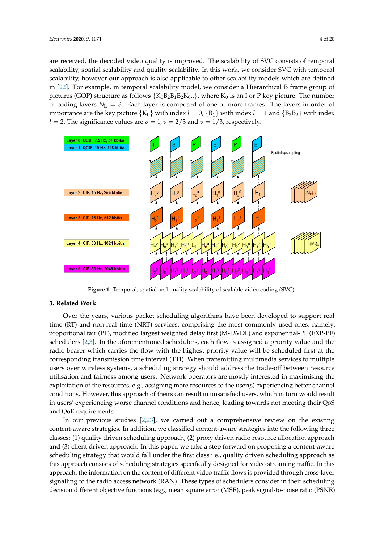are received, the decoded video quality is improved. The scalability of SVC consists of temporal scalability, spatial scalability and quality scalability. In this work, we consider SVC with temporal scalability, however our approach is also applicable to other scalability models which are defined in [\[22\]](#page-18-5). For example, in temporal scalability model, we consider a Hierarchical B frame group of pictures (GOP) structure as follows  $\{K_0B_2B_1B_2K_0..\}$ , where  $K_0$  is an I or P key picture. The number of coding layers  $N_L = 3$ . Each layer is composed of one or more frames. The layers in order of importance are the key picture  $\{K_0\}$  with index *l* = 0,  $\{B_1\}$  with index *l* = 1 and  $\{B_2B_2\}$  with index *l* = 2. The significance values are  $v = 1$ ,  $v = 2/3$  and  $v = 1/3$ , respectively.

<span id="page-3-1"></span>

**Figure 1.** Temporal, spatial and quality scalability of scalable video coding (SVC).

# <span id="page-3-0"></span>**3. Related Work**

Over the years, various packet scheduling algorithms have been developed to support real time (RT) and non-real time (NRT) services, comprising the most commonly used ones, namely: proportional fair (PF), modified largest weighted delay first (M-LWDF) and exponential-PF (EXP-PF) schedulers [\[2,](#page-17-1)[3\]](#page-17-6). In the aforementioned schedulers, each flow is assigned a priority value and the radio bearer which carries the flow with the highest priority value will be scheduled first at the corresponding transmission time interval (TTI). When transmitting multimedia services to multiple users over wireless systems, a scheduling strategy should address the trade-off between resource utilisation and fairness among users. Network operators are mostly interested in maximising the exploitation of the resources, e.g., assigning more resources to the user(s) experiencing better channel conditions. However, this approach of theirs can result in unsatisfied users, which in turn would result in users' experiencing worse channel conditions and hence, leading towards not meeting their QoS and QoE requirements.

In our previous studies [\[2](#page-17-1)[,23\]](#page-18-6), we carried out a comprehensive review on the existing content-aware strategies. In addition, we classified content-aware strategies into the following three classes: (1) quality driven scheduling approach, (2) proxy driven radio resource allocation approach and (3) client driven approach. In this paper, we take a step forward on proposing a content-aware scheduling strategy that would fall under the first class i.e., quality driven scheduling approach as this approach consists of scheduling strategies specifically designed for video streaming traffic. In this approach, the information on the content of different video traffic flows is provided through cross-layer signalling to the radio access network (RAN). These types of schedulers consider in their scheduling decision different objective functions (e.g., mean square error (MSE), peak signal-to-noise ratio (PSNR)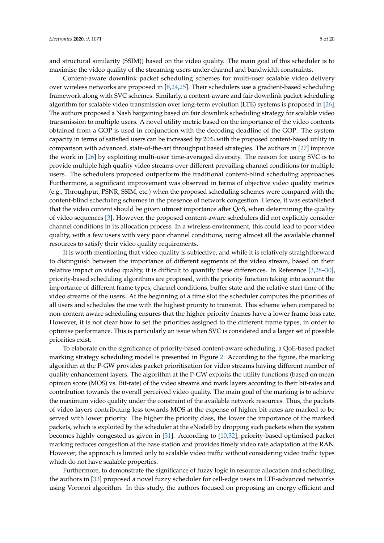and structural similarity (SSIM)) based on the video quality. The main goal of this scheduler is to maximise the video quality of the streaming users under channel and bandwidth constraints.

Content-aware downlink packet scheduling schemes for multi-user scalable video delivery over wireless networks are proposed in [\[8](#page-17-7)[,24](#page-18-7)[,25\]](#page-18-8). Their schedulers use a gradient-based scheduling framework along with SVC schemes. Similarly, a content-aware and fair downlink packet scheduling algorithm for scalable video transmission over long-term evolution (LTE) systems is proposed in [\[26\]](#page-18-9). The authors proposed a Nash bargaining based on fair downlink scheduling strategy for scalable video transmission to multiple users. A novel utility metric based on the importance of the video contents obtained from a GOP is used in conjunction with the decoding deadline of the GOP. The system capacity in terms of satisfied users can be increased by 20% with the proposed content-based utility in comparison with advanced, state-of-the-art throughput based strategies. The authors in [\[27\]](#page-18-10) improve the work in [\[26\]](#page-18-9) by exploiting multi-user time-averaged diversity. The reason for using SVC is to provide multiple high quality video streams over different prevailing channel conditions for multiple users. The schedulers proposed outperform the traditional content-blind scheduling approaches. Furthermore, a significant improvement was observed in terms of objective video quality metrics (e.g., Throughput, PSNR, SSIM, etc.) when the proposed scheduling schemes were compared with the content-blind scheduling schemes in the presence of network congestion. Hence, it was established that the video content should be given utmost importance after QoS, when determining the quality of video sequences [\[3\]](#page-17-6). However, the proposed content-aware schedulers did not explicitly consider channel conditions in its allocation process. In a wireless environment, this could lead to poor video quality, with a few users with very poor channel conditions, using almost all the available channel resources to satisfy their video quality requirements.

It is worth mentioning that video quality is subjective, and while it is relatively straightforward to distinguish between the importance of different segments of the video stream, based on their relative impact on video quality, it is difficult to quantify these differences. In Reference [\[3,](#page-17-6)[28](#page-18-11)[–30\]](#page-18-12), priority-based scheduling algorithms are proposed, with the priority function taking into account the importance of different frame types, channel conditions, buffer state and the relative start time of the video streams of the users. At the beginning of a time slot the scheduler computes the priorities of all users and schedules the one with the highest priority to transmit. This scheme when compared to non-content aware scheduling ensures that the higher priority frames have a lower frame loss rate. However, it is not clear how to set the priorities assigned to the different frame types, in order to optimise performance. This is particularly an issue when SVC is considered and a larger set of possible priorities exist.

To elaborate on the significance of priority-based content-aware scheduling, a QoE-based packet marking strategy scheduling model is presented in Figure [2.](#page-5-0) According to the figure, the marking algorithm at the P-GW provides packet prioritisation for video streams having different number of quality enhancement layers. The algorithm at the P-GW exploits the utility functions (based on mean opinion score (MOS) vs. Bit-rate) of the video streams and mark layers according to their bit-rates and contribution towards the overall perceived video quality. The main goal of the marking is to achieve the maximum video quality under the constraint of the available network resources. Thus, the packets of video layers contributing less towards MOS at the expense of higher bit-rates are marked to be served with lower priority. The higher the priority class, the lower the importance of the marked packets, which is exploited by the scheduler at the eNodeB by dropping such packets when the system becomes highly congested as given in [\[31\]](#page-18-13). According to [\[10](#page-17-3)[,32\]](#page-18-14), priority-based optimised packet marking reduces congestion at the base station and provides timely video rate adaptation at the RAN. However, the approach is limited only to scalable video traffic without considering video traffic types which do not have scalable properties.

Furthermore, to demonstrate the significance of fuzzy logic in resource allocation and scheduling, the authors in [\[33\]](#page-18-15) proposed a novel fuzzy scheduler for cell-edge users in LTE-advanced networks using Voronoi algorithm. In this study, the authors focused on proposing an energy efficient and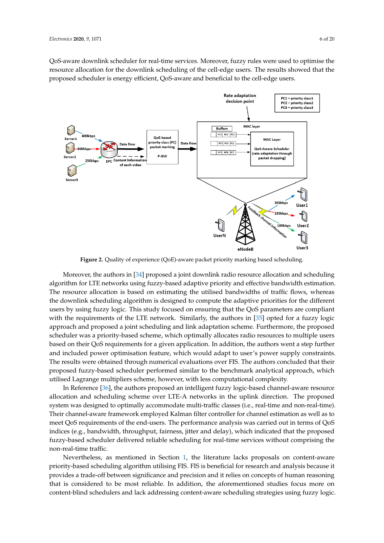QoS-aware downlink scheduler for real-time services. Moreover, fuzzy rules were used to optimise the resource allocation for the downlink scheduling of the cell-edge users. The results showed that the proposed scheduler is energy efficient, QoS-aware and beneficial to the cell-edge users.

<span id="page-5-0"></span>

**Figure 2.** Quality of experience (QoE)-aware packet priority marking based scheduling.

Moreover, the authors in [\[34\]](#page-18-16) proposed a joint downlink radio resource allocation and scheduling algorithm for LTE networks using fuzzy-based adaptive priority and effective bandwidth estimation. The resource allocation is based on estimating the utilised bandwidths of traffic flows, whereas the downlink scheduling algorithm is designed to compute the adaptive priorities for the different users by using fuzzy logic. This study focused on ensuring that the QoS parameters are compliant with the requirements of the LTE network. Similarly, the authors in [\[35\]](#page-18-17) opted for a fuzzy logic approach and proposed a joint scheduling and link adaptation scheme. Furthermore, the proposed scheduler was a priority-based scheme, which optimally allocates radio resources to multiple users based on their QoS requirements for a given application. In addition, the authors went a step further and included power optimisation feature, which would adapt to user's power supply constraints. The results were obtained through numerical evaluations over FIS. The authors concluded that their proposed fuzzy-based scheduler performed similar to the benchmark analytical approach, which utilised Lagrange multipliers scheme, however, with less computational complexity.

In Reference [\[36\]](#page-18-18), the authors proposed an intelligent fuzzy logic-based channel-aware resource allocation and scheduling scheme over LTE-A networks in the uplink direction. The proposed system was designed to optimally accommodate multi-traffic classes (i.e., real-time and non-real-time). Their channel-aware framework employed Kalman filter controller for channel estimation as well as to meet QoS requirements of the end-users. The performance analysis was carried out in terms of QoS indices (e.g., bandwidth, throughput, fairness, jitter and delay), which indicated that the proposed fuzzy-based scheduler delivered reliable scheduling for real-time services without comprising the non-real-time traffic.

Nevertheless, as mentioned in Section [1,](#page-0-0) the literature lacks proposals on content-aware priority-based scheduling algorithm utilising FIS. FIS is beneficial for research and analysis because it provides a trade-off between significance and precision and it relies on concepts of human reasoning that is considered to be most reliable. In addition, the aforementioned studies focus more on content-blind schedulers and lack addressing content-aware scheduling strategies using fuzzy logic.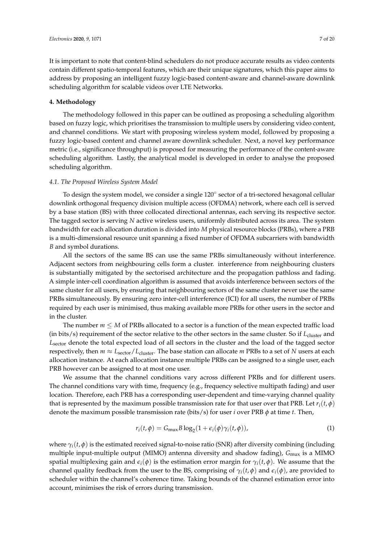It is important to note that content-blind schedulers do not produce accurate results as video contents contain different spatio-temporal features, which are their unique signatures, which this paper aims to address by proposing an intelligent fuzzy logic-based content-aware and channel-aware downlink scheduling algorithm for scalable videos over LTE Networks.

## <span id="page-6-0"></span>**4. Methodology**

The methodology followed in this paper can be outlined as proposing a scheduling algorithm based on fuzzy logic, which prioritises the transmission to multiple users by considering video content, and channel conditions. We start with proposing wireless system model, followed by proposing a fuzzy logic-based content and channel aware downlink scheduler. Next, a novel key performance metric (i.e., significance throughput) is proposed for measuring the performance of the content-aware scheduling algorithm. Lastly, the analytical model is developed in order to analyse the proposed scheduling algorithm.

## *4.1. The Proposed Wireless System Model*

To design the system model, we consider a single 120<sup>°</sup> sector of a tri-sectored hexagonal cellular downlink orthogonal frequency division multiple access (OFDMA) network, where each cell is served by a base station (BS) with three collocated directional antennas, each serving its respective sector. The tagged sector is serving *N* active wireless users, uniformly distributed across its area. The system bandwidth for each allocation duration is divided into *M* physical resource blocks (PRBs), where a PRB is a multi-dimensional resource unit spanning a fixed number of OFDMA subcarriers with bandwidth *B* and symbol durations.

All the sectors of the same BS can use the same PRBs simultaneously without interference. Adjacent sectors from neighbouring cells form a cluster. interference from neighbouring clusters is substantially mitigated by the sectorised architecture and the propagation pathloss and fading. A simple inter-cell coordination algorithm is assumed that avoids interference between sectors of the same cluster for all users, by ensuring that neighbouring sectors of the same cluster never use the same PRBs simultaneously. By ensuring zero inter-cell interference (ICI) for all users, the number of PRBs required by each user is minimised, thus making available more PRBs for other users in the sector and in the cluster.

The number  $m \leq M$  of PRBs allocated to a sector is a function of the mean expected traffic load (in bits/s) requirement of the sector relative to the other sectors in the same cluster. So if  $L_{\text{cluster}}$  and *L*sector denote the total expected load of all sectors in the cluster and the load of the tagged sector respectively, then  $m \approx L_{\text{sector}}/L_{\text{cluster}}$ . The base station can allocate  $m$  PRBs to a set of *N* users at each allocation instance. At each allocation instance multiple PRBs can be assigned to a single user, each PRB however can be assigned to at most one user.

We assume that the channel conditions vary across different PRBs and for different users. The channel conditions vary with time, frequency (e.g., frequency selective multipath fading) and user location. Therefore, each PRB has a corresponding user-dependent and time-varying channel quality that is represented by the maximum possible transmission rate for that user over that PRB. Let  $r_i(t, \phi)$ denote the maximum possible transmission rate (bits/s) for user *i* over PRB *φ* at time *t*. Then,

<span id="page-6-1"></span>
$$
r_i(t,\phi) = G_{\text{mux}} B \log_2(1 + \epsilon_i(\phi)\gamma_i(t,\phi)),
$$
\n(1)

where  $\gamma_i(t, \phi)$  is the estimated received signal-to-noise ratio (SNR) after diversity combining (including multiple input-multiple output (MIMO) antenna diversity and shadow fading), *G*mux is a MIMO spatial multiplexing gain and  $\epsilon_i(\phi)$  is the estimation error margin for  $\gamma_i(t,\phi)$ . We assume that the channel quality feedback from the user to the BS, comprising of  $\gamma_i(t, \phi)$  and  $\epsilon_i(\phi)$ , are provided to scheduler within the channel's coherence time. Taking bounds of the channel estimation error into account, minimises the risk of errors during transmission.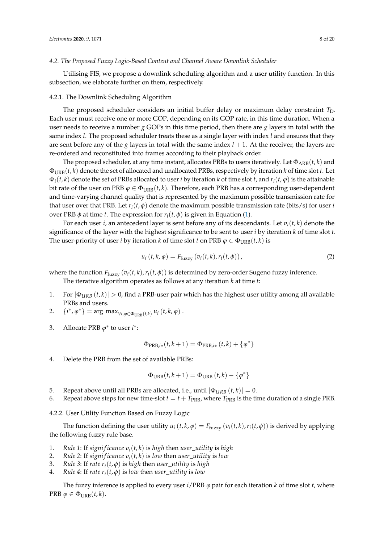## *4.2. The Proposed Fuzzy Logic-Based Content and Channel Aware Downlink Scheduler*

Utilising FIS, we propose a downlink scheduling algorithm and a user utility function. In this subsection, we elaborate further on them, respectively.

#### 4.2.1. The Downlink Scheduling Algorithm

The proposed scheduler considers an initial buffer delay or maximum delay constraint  $T_D$ . Each user must receive one or more GOP, depending on its GOP rate, in this time duration. When a user needs to receive a number *g* GOPs in this time period, then there are *g* layers in total with the same index *l*. The proposed scheduler treats these as a single layer with index *l* and ensures that they are sent before any of the *g* layers in total with the same index  $l + 1$ . At the receiver, the layers are re-ordered and reconstituted into frames according to their playback order.

The proposed scheduler, at any time instant, allocates PRBs to users iteratively. Let  $\Phi_{\text{ARB}}(t, k)$  and ΦURB(*t*, *k*) denote the set of allocated and unallocated PRBs, respectively by iteration *k* of time slot *t*. Let  $\Phi_i(t, k)$  denote the set of PRBs allocated to user *i* by iteration *k* of time slot *t*, and  $r_i(t, \varphi)$  is the attainable bit rate of the user on PRB  $\varphi \in \Phi_{URB}(t, k)$ . Therefore, each PRB has a corresponding user-dependent and time-varying channel quality that is represented by the maximum possible transmission rate for that user over that PRB. Let  $r_i(t, \phi)$  denote the maximum possible transmission rate (bits/s) for user *i* over PRB *φ* at time *t*. The expression for  $r_i(t, φ)$  is given in Equation [\(1\)](#page-6-1).

For each user *i*, an antecedent layer is sent before any of its descendants. Let  $v_i(t, k)$  denote the significance of the layer with the highest significance to be sent to user *i* by iteration *k* of time slot *t*. The user-priority of user *i* by iteration *k* of time slot *t* on PRB  $\varphi \in \Phi_{URB}(t, k)$  is

$$
u_i(t, k, \varphi) = F_{\text{fuzzy}}\left(v_i(t, k), r_i(t, \varphi)\right),\tag{2}
$$

where the function  $F_{\text{fuzzy}}(v_i(t, k), r_i(t, \phi))$  is determined by zero-order Sugeno fuzzy inference.

The iterative algorithm operates as follows at any iteration *k* at time *t*:

- 1. For  $|\Phi_{URB}(t,k)| > 0$ , find a PRB-user pair which has the highest user utility among all available PRBs and users.
- 2.  $\{i^*, \varphi^*\} = \arg \max_{\forall i, \varphi \in \Phi_{URB}(t,k)} u_i(t, k, \varphi)$ .
- 3. Allocate PRB  $\varphi^*$  to user  $i^*$ :

$$
\Phi_{\mathrm{PRB},i*}(t,k+1) = \Phi_{\mathrm{PRB},i*}(t,k) + \{\varphi^*\}
$$

4. Delete the PRB from the set of available PRBs:

$$
\Phi_{\text{URB}}(t,k+1) = \Phi_{\text{URB}}(t,k) - \{\varphi^*\}
$$

- 5. Repeat above until all PRBs are allocated, i.e., until  $|\Phi_{URB}(t, k)| = 0$ .
- 6. Repeat above steps for new time-slot  $t = t + T_{\text{PRB}}$ , where  $T_{\text{PRB}}$  is the time duration of a single PRB.

4.2.2. User Utility Function Based on Fuzzy Logic

The function defining the user utility  $u_i(t, k, \varphi) = F_{\text{fuzzy}}(v_i(t, k), r_i(t, \varphi))$  is derived by applying the following fuzzy rule base.

- 1. *Rule 1*: If *significance*  $v_i(t, k)$  is *high* then *user\_utility* is *high*
- 2. *Rule 2: If significance*  $v_i(t, k)$  is *low* then *user\_utility* is *low*
- 3. *Rule 3:* If *rate*  $r_i(t, \phi)$  is *high* then *user\_utility* is *high*
- 4. *Rule 4*: If *rate*  $r_i(t, \phi)$  is *low* then *user\_utility* is *low*

The fuzzy inference is applied to every user  $i$ /PRB  $\varphi$  pair for each iteration *k* of time slot *t*, where  $PRB \varphi \in \Phi_{URB}(t, k).$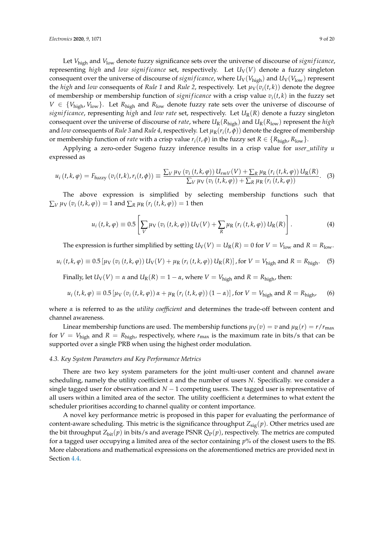Let *V*<sub>high</sub> and *V*<sub>low</sub> denote fuzzy significance sets over the universe of discourse of *significance*, representing *high* and *low significance* set, respectively. Let  $U_V(V)$  denote a fuzzy singleton consequent over the universe of discourse of *significance*, where  $U_V(V_{\text{high}})$  and  $U_V(V_{\text{low}})$  represent the *high* and *low* consequents of *Rule 1* and *Rule 2*, respectively. Let  $\mu_V(v_i(t, k))$  denote the degree of membership or membership function of *significance* with a crisp value  $v_i(t, k)$  in the fuzzy set  $V \in \{V_{\text{high}}\,V_{\text{low}}\}$ . Let  $R_{\text{high}}$  and  $R_{\text{low}}$  denote fuzzy rate sets over the universe of discourse of *signi f icance*, representing *high* and *low rate* set, respectively. Let *U*R(*R*) denote a fuzzy singleton consequent over the universe of discourse of *rate*, where  $U_R(R_{high})$  and  $U_R(R_{low})$  represent the *high* and *low* consequents of *Rule 3* and *Rule 4*, respectively. Let  $\mu_R(r_i(t, \phi))$  denote the degree of membership or membership function of *rate* with a crisp value  $r_i(t, \phi)$  in the fuzzy set  $R \in \{R_{\text{high}}, R_{\text{low}}\}$ .

Applying a zero-order Sugeno fuzzy inference results in a crisp value for *user*\_*utility u* expressed as

$$
u_i(t,k,\varphi) = F_{\text{fuzzy}}\left(v_i(t,k),r_i(t,\varphi)\right) \equiv \frac{\sum_V \mu_V\left(v_i\left(t,k,\varphi\right)\right)U_{rmV}(V) + \sum_R \mu_R\left(r_i\left(t,k,\varphi\right)\right)U_R(R)}{\sum_V \mu_V\left(v_i\left(t,k,\varphi\right)\right) + \sum_R \mu_R\left(r_i\left(t,k,\varphi\right)\right)}.
$$
 (3)

The above expression is simplified by selecting membership functions such that  $\Sigma$ *V*  $\mu$ V (*v*<sub>*i*</sub> (*t*, *k*, *ϕ*)) = 1 and  $\Sigma$ <sub>*R*</sub>  $\mu$ <sub>*R*</sub> (*r*<sub>*i*</sub> (*t*, *k*, *ϕ*)) = 1 then

$$
u_i(t, k, \varphi) \equiv 0.5 \left[ \sum_V \mu_V \left( v_i(t, k, \varphi) \right) U_V(V) + \sum_R \mu_R \left( r_i(t, k, \varphi) \right) U_R(R) \right]. \tag{4}
$$

The expression is further simplified by setting  $U_V(V) = U_R(R) = 0$  for  $V = V_{low}$  and  $R = R_{low}$ .

$$
u_i(t, k, \varphi) \equiv 0.5 \left[ \mu_V \left( v_i(t, k, \varphi) \right) U_V(V) + \mu_R \left( r_i(t, k, \varphi) \right) U_R(R) \right],
$$
 for  $V = V_{\text{high}}$  and  $R = R_{\text{high}}$ . (5)

Finally, let  $U_V(V) = \alpha$  and  $U_R(R) = 1 - \alpha$ , where  $V = V_{\text{high}}$  and  $R = R_{\text{high}}$ , then:

$$
u_i(t, k, \varphi) \equiv 0.5 \left[ \mu_V \left( v_i \left( t, k, \varphi \right) \right) \alpha + \mu_R \left( r_i \left( t, k, \varphi \right) \right) \left( 1 - \alpha \right) \right], \text{for } V = V_{\text{high}} \text{ and } R = R_{\text{high}} \tag{6}
$$

where *α* is referred to as the *utility coefficient* and determines the trade-off between content and channel awareness.

Linear membership functions are used. The membership functions  $\mu_V(v) = v$  and  $\mu_R(r) = r/r_{\text{max}}$ for  $V = V_{\text{high}}$  and  $R = R_{\text{high}}$ , respectively, where  $r_{\text{max}}$  is the maximum rate in bits/s that can be supported over a single PRB when using the highest order modulation.

## *4.3. Key System Parameters and Key Performance Metrics*

There are two key system parameters for the joint multi-user content and channel aware scheduling, namely the utility coefficient *α* and the number of users *N*. Specifically. we consider a single tagged user for observation and *N* − 1 competing users. The tagged user is representative of all users within a limited area of the sector. The utility coefficient *α* determines to what extent the scheduler prioritises according to channel quality or content importance.

A novel key performance metric is proposed in this paper for evaluating the performance of content-aware scheduling. This metric is the significance throughput  $Z_{sig}(p)$ . Other metrics used are the bit throughput  $Z_{\text{bit}}(p)$  in bits/s and average PSNR  $Q_P(p)$ , respectively. The metrics are computed for a tagged user occupying a limited area of the sector containing *p*% of the closest users to the BS. More elaborations and mathematical expressions on the aforementioned metrics are provided next in Section [4.4.](#page-9-0)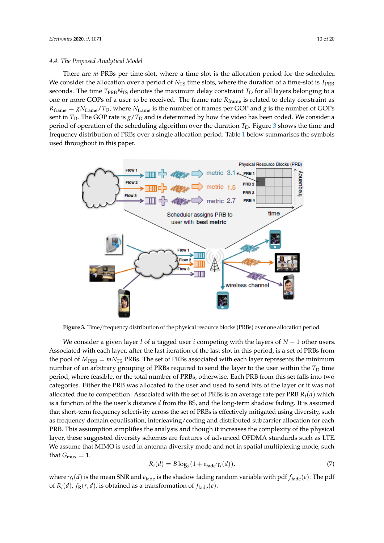<span id="page-9-0"></span>There are *m* PRBs per time-slot, where a time-slot is the allocation period for the scheduler. We consider the allocation over a period of  $N_{TS}$  time slots, where the duration of a time-slot is  $T_{PRB}$ seconds. The time  $T_{PRB}N_{TS}$  denotes the maximum delay constraint  $T_D$  for all layers belonging to a one or more GOPs of a user to be received. The frame rate *R*frame is related to delay constraint as  $R_{frame} = gN_{frame}/T_D$ , where  $N_{frame}$  is the number of frames per GOP and *g* is the number of GOPs sent in  $T_D$ . The GOP rate is  $g/T_D$  and is determined by how the video has been coded. We consider a period of operation of the scheduling algorithm over the duration *T*<sub>D</sub>. Figure [3](#page-9-1) shows the time and frequency distribution of PRBs over a single allocation period. Table [1](#page-12-1) below summarises the symbols used throughout in this paper.

<span id="page-9-1"></span>

**Figure 3.** Time/frequency distribution of the physical resource blocks (PRBs) over one allocation period.

We consider a given layer *l* of a tagged user *i* competing with the layers of *N* − 1 other users. Associated with each layer, after the last iteration of the last slot in this period, is a set of PRBs from the pool of  $M_{\text{PRB}} = mN_{\text{TS}}$  PRBs. The set of PRBs associated with each layer represents the minimum number of an arbitrary grouping of PRBs required to send the layer to the user within the  $T_D$  time period, where feasible, or the total number of PRBs, otherwise. Each PRB from this set falls into two categories. Either the PRB was allocated to the user and used to send bits of the layer or it was not allocated due to competition. Associated with the set of PRBs is an average rate per PRB *Ri*(*d*) which is a function of the the user's distance *d* from the BS, and the long-term shadow fading. It is assumed that short-term frequency selectivity across the set of PRBs is effectively mitigated using diversity, such as frequency domain equalisation, interleaving/coding and distributed subcarrier allocation for each PRB. This assumption simplifies the analysis and though it increases the complexity of the physical layer, these suggested diversity schemes are features of advanced OFDMA standards such as LTE. We assume that MIMO is used in antenna diversity mode and not in spatial multiplexing mode, such that  $G_{\text{mix}} = 1$ .

$$
R_i(d) = B \log_2(1 + e_{\text{fade}} \gamma_i(d)), \tag{7}
$$

where  $\gamma_i(d)$  is the mean SNR and  $e_{\text{fade}}$  is the shadow fading random variable with pdf  $f_{\text{fade}}(e)$ . The pdf of  $R_i(d)$ ,  $f_R(r, d)$ , is obtained as a transformation of  $f_{\text{fade}}(e)$ .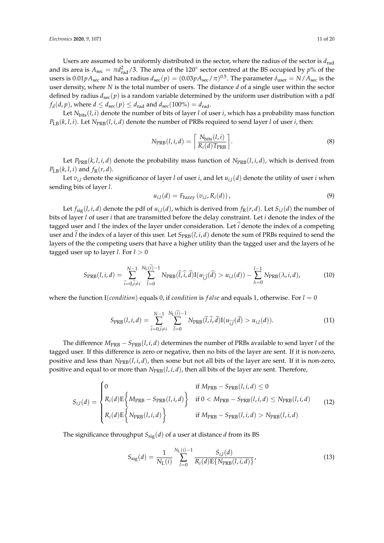Users are assumed to be uniformly distributed in the sector, where the radius of the sector is  $d_{rad}$ and its area is  $A_{\text{sec}} = \pi d_{\text{rad}}^2/3$ . The area of the 120° sector centred at the BS occupied by *p*% of the users is  $0.01pA_{\text{sec}}$  and has a radius  $d_{\text{sec}}(p) = (0.03pA_{\text{sec}}/\pi)^{0.5}$ . The parameter  $\delta_{\text{user}} = N/A_{\text{sec}}$  is the user density, where *N* is the total number of users. The distance *d* of a single user within the sector defined by radius *d*sec(*p*) is a random variable determined by the uniform user distribution with a pdf  $f_d(d, p)$ , where  $d \leq d_{\text{sec}}(p) \leq d_{\text{rad}}$  and  $d_{\text{sec}}(100\%) = d_{\text{rad}}$ .

Let *N*bits(*l*, *i*) denote the number of bits of layer *l* of user *i*, which has a probability mass function  $P_{LB}(k, l, i)$ . Let  $N_{PRB}(l, i, d)$  denote the number of PRBs required to send layer *l* of user *i*, then:

$$
N_{\text{PRB}}(l, i, d) = \left\lceil \frac{N_{\text{bits}}(l, i)}{R_i(d) T_{\text{PRB}}} \right\rceil. \tag{8}
$$

Let  $P_{PRB}(k, l, i, d)$  denote the probability mass function of  $N_{PRB}(l, i, d)$ , which is derived from  $P_{\text{LB}}(k, l, i)$  and  $f_{\text{R}}(r, d)$ .

Let *vi*,*<sup>l</sup>* denote the significance of layer *l* of user *i*, and let *ui*,*<sup>l</sup>* (*d*) denote the utility of user *i* when sending bits of layer *l*.

$$
u_{i,l}(d) = F_{\text{fuzzy}}\left(v_{i,l}, R_i(d)\right),\tag{9}
$$

Let  $f_{sig}(l, i, d)$  denote the pdf of  $u_{i,l}(d)$ , which is derived from  $f_R(r, d)$ . Let  $S_{i,l}(d)$  the number of bits of layer *l* of user *i* that are transmitted before the delay constraint. Let *i* denote the index of the tagged user and *l* the index of the layer under consideration. Let *i* denote the index of a competing user and  $\hat{l}$  the index of a layer of this user. Let  $S_{PRB}(l, i, d)$  denote the sum of PRBs required to send the layers of the the competing users that have a higher utility than the tagged user and the layers of he tagged user up to layer *l*. For  $l > 0$ 

$$
S_{\text{PRB}}(l,i,d) = \sum_{\hat{i}=0,\hat{i}\neq i}^{N-1} \sum_{\hat{i}=0}^{N_{\text{L}}(\hat{i})-1} N_{\text{PRB}}(\hat{l},\hat{i},\hat{d}) I(u_{\hat{i},\hat{l}}(\hat{d}) > u_{i,l}(d)) - \sum_{\lambda=0}^{l-1} N_{\text{PRB}}(\lambda,i,d), \tag{10}
$$

where the function I(*condition*) equals 0, if *condition* is *false* and equals 1, otherwise. For  $l = 0$ 

$$
S_{\text{PRB}}(l, i, d) = \sum_{\hat{i}=0, \hat{i}\neq i}^{N-1} \sum_{\hat{l}=0}^{N_{\text{L}}(\hat{i})-1} N_{\text{PRB}}(\hat{l}, \hat{i}, \hat{d}) I(u_{\hat{i}, \hat{l}}(\hat{d}) > u_{i,l}(d)).
$$
\n(11)

The difference  $M_{\text{PRB}} - S_{\text{PRB}}(l, i, d)$  determines the number of PRBs available to send layer *l* of the tagged user. If this difference is zero or negative, then no bits of the layer are sent. If it is non-zero, positive and less than  $N_{PRB}(l, i, d)$ , then some but not all bits of the layer are sent. If it is non-zero, positive and equal to or more than  $N_{PRB}(l, i, d)$ , then all bits of the layer are sent. Therefore,

$$
S_{i,l}(d) = \begin{cases} 0 & \text{if } M_{\text{PRB}} - S_{\text{PRB}}(l, i, d) \le 0 \\ R_i(d) \mathbb{E} \left\{ M_{\text{PRB}} - S_{\text{PRB}}(l, i, d) \right\} & \text{if } 0 < M_{\text{PRB}} - S_{\text{PRB}}(l, i, d) \le N_{\text{PRB}}(l, i, d) \\ R_i(d) \mathbb{E} \left\{ N_{\text{PRB}}(l, i, d) \right\} & \text{if } M_{\text{PRB}} - S_{\text{PRB}}(l, i, d) > N_{\text{PRB}}(l, i, d) \end{cases}
$$
(12)

The significance throughput  $S_{sig}(d)$  of a user at distance *d* from its BS

$$
S_{\text{sig}}(d) = \frac{1}{N_{\text{L}}(i)} \sum_{l=0}^{N_{\text{L}}(i)-1} \frac{S_{i,l}(d)}{R_i(d) \mathbb{E}\{N_{\text{PRB}}(l, i, d)\}},
$$
(13)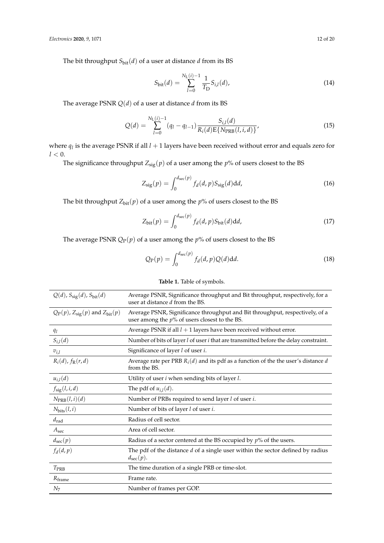The bit throughput  $S_{\text{bit}}(d)$  of a user at distance *d* from its BS

$$
S_{\text{bit}}(d) = \sum_{l=0}^{N_{\text{L}}(i)-1} \frac{1}{T_{\text{D}}} S_{i,l}(d), \tag{14}
$$

The average PSNR *Q*(*d*) of a user at distance *d* from its BS

$$
Q(d) = \sum_{l=0}^{N_{\rm L}(i)-1} (q_l - q_{l-1}) \frac{S_{i,l}(d)}{R_i(d)E\{N_{\rm PRB}(l,i,d)\}},
$$
(15)

where  $q_l$  is the average PSNR if all  $l + 1$  layers have been received without error and equals zero for  $l < 0$ .

The significance throughput  $Z_{sig}(p)$  of a user among the  $p\%$  of users closest to the BS

$$
Z_{\rm sig}(p) = \int_0^{d_{\rm sec}(p)} f_d(d, p) S_{\rm sig}(d) \mathrm{d}d,
$$
\n(16)

The bit throughput  $Z_{\text{bit}}(p)$  of a user among the  $p\%$  of users closest to the BS

$$
Z_{\text{bit}}(p) = \int_0^{d_{\text{sec}}(p)} f_d(d, p) S_{\text{bit}}(d) dd,
$$
 (17)

The average PSNR  $Q_P(p)$  of a user among the  $p\%$  of users closest to the BS

$$
Q_P(p) = \int_0^{d_{\text{sec}}(p)} f_d(d, p) Q(d) \text{d}d. \tag{18}
$$

| $Q(d)$ , $S_{sig}(d)$ , $S_{bit}(d)$     | Average PSNR, Significance throughput and Bit throughput, respectively, for a<br>user at distance d from the BS.                 |
|------------------------------------------|----------------------------------------------------------------------------------------------------------------------------------|
| $Q_P(p)$ , $Z_{sig}(p)$ and $Z_{bit}(p)$ | Average PSNR, Significance throughput and Bit throughput, respectively, of a<br>user among the $p\%$ of users closest to the BS. |
| $q_l$                                    | Average PSNR if all $l + 1$ layers have been received without error.                                                             |
| $S_{i,l}(d)$                             | Number of bits of layer <i>l</i> of user <i>i</i> that are transmitted before the delay constraint.                              |
| $v_{i,l}$                                | Significance of layer l of user i.                                                                                               |
| $R_i(d)$ , $f_R(r, d)$                   | Average rate per PRB $R_i(d)$ and its pdf as a function of the the user's distance d<br>from the BS.                             |
| $u_{i,l}(d)$                             | Utility of user <i>i</i> when sending bits of layer <i>l</i> .                                                                   |
| $f_{\rm sig}(l, i, d)$                   | The pdf of $u_{i,l}(d)$ .                                                                                                        |
| $N_{\text{PRB}}(l, i)(d)$                | Number of PRBs required to send layer l of user i.                                                                               |
| $N_{\text{bits}}(l,i)$                   | Number of bits of layer <i>l</i> of user <i>i</i> .                                                                              |
| $d_{\rm rad}$                            | Radius of cell sector.                                                                                                           |
| A <sub>sec</sub>                         | Area of cell sector.                                                                                                             |
| $d_{\text{sec}}(p)$                      | Radius of a sector centered at the BS occupied by $p\%$ of the users.                                                            |
| $f_d(d,p)$                               | The pdf of the distance $d$ of a single user within the sector defined by radius<br>$d_{\text{sec}}(p)$ .                        |
| $T_{\rm PRB}$                            | The time duration of a single PRB or time-slot.                                                                                  |
| $R_{frame}$                              | Frame rate.                                                                                                                      |
| N <sub>7</sub>                           | Number of frames per GOP.                                                                                                        |

# **Table 1.** Table of symbols.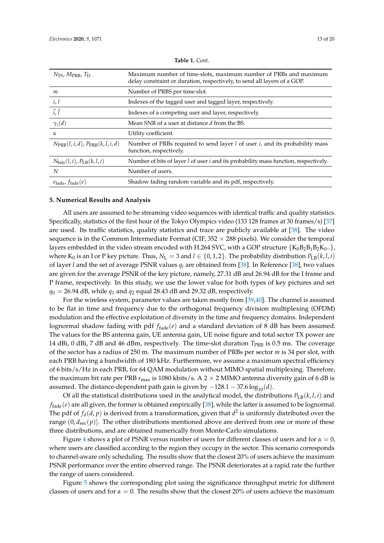<span id="page-12-1"></span>

| $N_{\text{TS}}$ , $M_{\text{PRB}}$ , $T_{\text{D}}$      | Maximum number of time-slots, maximum number of PRBs and maximum<br>delay constraint or duration, respectively, to send all layers of a GOP. |
|----------------------------------------------------------|----------------------------------------------------------------------------------------------------------------------------------------------|
| m                                                        | Number of PRBS per time-slot.                                                                                                                |
| i, l                                                     | Indexes of the tagged user and tagged layer, respectively.                                                                                   |
| $\hat{i}, \hat{l}$                                       | Indexes of a competing user and layer, respectively.                                                                                         |
| $\gamma_i(d)$                                            | Mean SNR of a user at distance d from the BS.                                                                                                |
| $\alpha$                                                 | Utility coefficient.                                                                                                                         |
| $N_{\text{PRB}}(l, i, d)$ , $P_{\text{PRB}}(k, l, i, d)$ | Number of PRBs required to send layer $l$ of user $i$ , and its probability mass<br>function, respectively.                                  |
| $N_{\text{bits}}(l, i)$ , $P_{\text{LB}}(k, l, i)$       | Number of bits of layer <i>l</i> of user <i>i</i> and its probability mass function, respectively.                                           |
| N                                                        | Number of users.                                                                                                                             |
| $e_{\text{fade}}$ , $f_{\text{fade}}(e)$                 | Shadow fading random variable and its pdf, respectively.                                                                                     |

|  | <b>Table 1. Cont.</b> |
|--|-----------------------|
|--|-----------------------|

# <span id="page-12-0"></span>**5. Numerical Results and Analysis**

All users are assumed to be streaming video sequences with identical traffic and quality statistics. Specifically, statistics of the first hour of the Tokyo Olympics video (133 128 frames at 30 frames/s) [\[37\]](#page-18-19) are used. Its traffic statistics, quality statistics and trace are publicly available at [\[38\]](#page-18-20). The video sequence is in the Common Intermediate Format (CIF,  $352 \times 288$  pixels). We consider the temporal layers embedded in the video stream encoded with H.264 SVC, with a GOP structure  $\{K_0B_2B_1B_2K_0..\}$ , where  $K_0$  is an I or P key picture. Thus,  $N_L = 3$  and  $l \in \{0, 1, 2\}$ . The probability distribution  $P_{LB}(k, l, i)$ of layer *l* and the set of average PSNR values *q<sup>l</sup>* are obtained from [\[38\]](#page-18-20). In Reference [\[38\]](#page-18-20), two values are given for the average PSNR of the key picture, namely, 27.31 dB and 26.94 dB for the I frame and P frame, respectively. In this study, we use the lower value for both types of key pictures and set  $q_0 = 26.94$  dB, while  $q_1$  and  $q_2$  equal 28.43 dB and 29.32 dB, respectively.

For the wireless system, parameter values are taken mostly from [\[39](#page-19-0)[,40\]](#page-19-1). The channel is assumed to be flat in time and frequency due to the orthogonal frequency division multiplexing (OFDM) modulation and the effective exploitation of diversity in the time and frequency domains. Independent lognormal shadow fading with pdf  $f_{\text{fade}}(e)$  and a standard deviation of 8 dB has been assumed. The values for the BS antenna gain, UE antenna gain, UE noise figure and total sector TX power are 14 dBi, 0 dBi, 7 dB and 46 dBm, respectively. The time-slot duration  $T_{\rm PRB}$  is 0.5 ms. The coverage of the sector has a radius of 250 m. The maximum number of PRBs per sector *m* is 34 per slot, with each PRB having a bandwidth of 180 kHz. Furthermore, we assume a maximum spectral efficiency of 6 bits/s/Hz in each PRB, for 64 QAM modulation without MIMO spatial multiplexing. Therefore, the maximum bit rate per PRB  $r_{\text{max}}$  is 1080 kbits/s. A 2  $\times$  2 MIMO antenna diversity gain of 6 dB is assumed. The distance-dependent path gain is given by  $-128.1 - 37.6 \log_{10}(d)$ .

Of all the statistical distributions used in the analytical model, the distributions  $P_{LB}(k, l, i)$  and  $f_{\rm fade} (e)$  are all given, the former is obtained empirically [\[38\]](#page-18-20), while the latter is assumed to be lognormal. The pdf of  $f_d(d, p)$  is derived from a transformation, given that  $d^2$  is uniformly distributed over the range  $(0, d_{\text{sec}}(p))$ . The other distributions mentioned above are derived from one or more of these three distributions, and are obtained numerically from Monte-Carlo simulations.

Figure [4](#page-13-0) shows a plot of PSNR versus number of users for different classes of users and for *α* = 0, where users are classified according to the region they occupy in the sector. This scenario corresponds to channel-aware only scheduling. The results show that the closest 20% of users achieve the maximum PSNR performance over the entire observed range. The PSNR deteriorates at a rapid rate the further the range of users considered.

Figure [5](#page-13-1) shows the corresponding plot using the significance throughput metric for different classes of users and for *α* = 0. The results show that the closest 20% of users achieve the maximum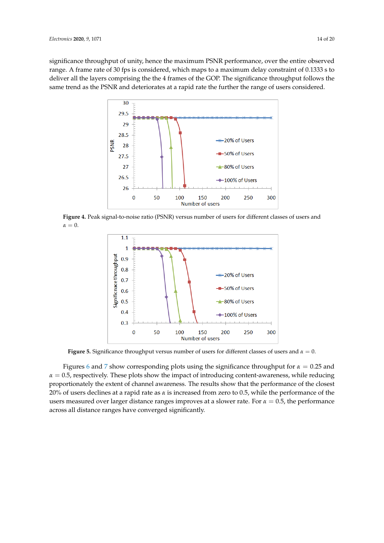<span id="page-13-0"></span>significance throughput of unity, hence the maximum PSNR performance, over the entire observed range. A frame rate of 30 fps is considered, which maps to a maximum delay constraint of 0.1333 s to deliver all the layers comprising the the 4 frames of the GOP. The significance throughput follows the same trend as the PSNR and deteriorates at a rapid rate the further the range of users considered.



<span id="page-13-1"></span>**Figure 4.** Peak signal-to-noise ratio (PSNR) versus number of users for different classes of users and  $\alpha = 0$ .



**Figure 5.** Significance throughput versus number of users for different classes of users and *α* = 0.

Figures [6](#page-14-0) and [7](#page-14-1) show corresponding plots using the significance throughput for *α* = 0.25 and  $\alpha = 0.5$ , respectively. These plots show the impact of introducing content-awareness, while reducing proportionately the extent of channel awareness. The results show that the performance of the closest 20% of users declines at a rapid rate as *α* is increased from zero to 0.5, while the performance of the users measured over larger distance ranges improves at a slower rate. For *α* = 0.5, the performance across all distance ranges have converged significantly.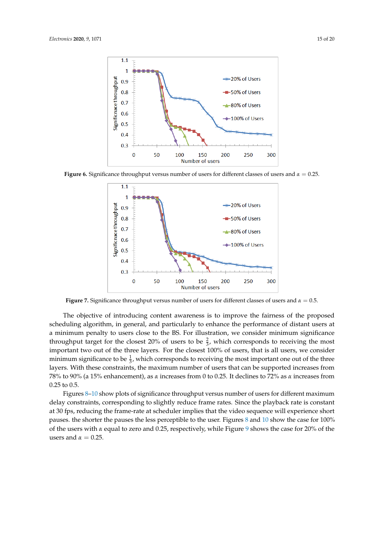<span id="page-14-0"></span>

<span id="page-14-1"></span>**Figure 6.** Significance throughput versus number of users for different classes of users and *α* = 0.25.



**Figure 7.** Significance throughput versus number of users for different classes of users and *α* = 0.5.

The objective of introducing content awareness is to improve the fairness of the proposed scheduling algorithm, in general, and particularly to enhance the performance of distant users at a minimum penalty to users close to the BS. For illustration, we consider minimum significance throughput target for the closest 20% of users to be  $\frac{2}{3}$ , which corresponds to receiving the most important two out of the three layers. For the closest 100% of users, that is all users, we consider minimum significance to be  $\frac{1}{3}$ , which corresponds to receiving the most important one out of the three layers. With these constraints, the maximum number of users that can be supported increases from 78% to 90% (a 15% enhancement), as *α* increases from 0 to 0.25. It declines to 72% as *α* increases from 0.25 to 0.5.

Figures [8–](#page-15-0)[10](#page-15-1) show plots of significance throughput versus number of users for different maximum delay constraints, corresponding to slightly reduce frame rates. Since the playback rate is constant at 30 fps, reducing the frame-rate at scheduler implies that the video sequence will experience short pauses. the shorter the pauses the less perceptible to the user. Figures [8](#page-15-0) and [10](#page-15-1) show the case for 100% of the users with *α* equal to zero and 0.25, respectively, while Figure [9](#page-15-2) shows the case for 20% of the users and  $\alpha = 0.25$ .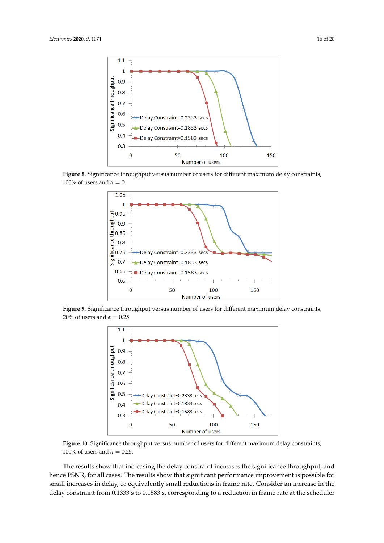<span id="page-15-0"></span>

<span id="page-15-2"></span>**Figure 8.** Significance throughput versus number of users for different maximum delay constraints, 100% of users and  $\alpha = 0$ .



<span id="page-15-1"></span>**Figure 9.** Significance throughput versus number of users for different maximum delay constraints, 20% of users and  $\alpha = 0.25$ .



**Figure 10.** Significance throughput versus number of users for different maximum delay constraints, 100% of users and  $α = 0.25$ .

The results show that increasing the delay constraint increases the significance throughput, and hence PSNR, for all cases. The results show that significant performance improvement is possible for small increases in delay, or equivalently small reductions in frame rate. Consider an increase in the delay constraint from 0.1333 s to 0.1583 s, corresponding to a reduction in frame rate at the scheduler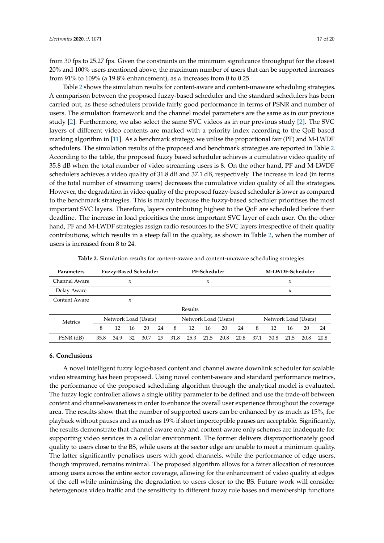from 30 fps to 25.27 fps. Given the constraints on the minimum significance throughput for the closest 20% and 100% users mentioned above, the maximum number of users that can be supported increases from 91% to 109% (a 19.8% enhancement), as *α* increases from 0 to 0.25.

Table [2](#page-16-1) shows the simulation results for content-aware and content-unaware scheduling strategies. A comparison between the proposed fuzzy-based scheduler and the standard schedulers has been carried out, as these schedulers provide fairly good performance in terms of PSNR and number of users. The simulation framework and the channel model parameters are the same as in our previous study [\[2\]](#page-17-1). Furthermore, we also select the same SVC videos as in our previous study [\[2\]](#page-17-1). The SVC layers of different video contents are marked with a priority index according to the QoE based marking algorithm in [\[11\]](#page-17-4). As a benchmark strategy, we utilise the proportional fair (PF) and M-LWDF schedulers. The simulation results of the proposed and benchmark strategies are reported in Table [2.](#page-16-1) According to the table, the proposed fuzzy based scheduler achieves a cumulative video quality of 35.8 dB when the total number of video streaming users is 8. On the other hand, PF and M-LWDF schedulers achieves a video quality of 31.8 dB and 37.1 dB, respectively. The increase in load (in terms of the total number of streaming users) decreases the cumulative video quality of all the strategies. However, the degradation in video quality of the proposed fuzzy-based scheduler is lower as compared to the benchmark strategies. This is mainly because the fuzzy-based scheduler prioritises the most important SVC layers. Therefore, layers contributing highest to the QoE are scheduled before their deadline. The increase in load prioritises the most important SVC layer of each user. On the other hand, PF and M-LWDF strategies assign radio resources to the SVC layers irrespective of their quality contributions, which results in a steep fall in the quality, as shown in Table [2,](#page-16-1) when the number of users is increased from 8 to 24.

<span id="page-16-1"></span>

| Parameters    | <b>Fuzzy-Based Scheduler</b> |      |    |      |    | PF-Scheduler         |      |      |      |                      | M-LWDF-Scheduler |      |      |      |      |
|---------------|------------------------------|------|----|------|----|----------------------|------|------|------|----------------------|------------------|------|------|------|------|
| Channel Aware | x                            |      |    |      |    | X                    |      |      |      |                      | X                |      |      |      |      |
| Delay Aware   |                              |      |    |      |    |                      |      |      |      |                      |                  |      | X    |      |      |
| Content Aware |                              |      | X  |      |    |                      |      |      |      |                      |                  |      |      |      |      |
|               | Results                      |      |    |      |    |                      |      |      |      |                      |                  |      |      |      |      |
| Metrics       | Network Load (Users)         |      |    |      |    | Network Load (Users) |      |      |      | Network Load (Users) |                  |      |      |      |      |
|               | 8                            | 12   | 16 | 20   | 24 | 8                    | 12   | 16   | 20   | 24                   | 8                | 12   | 16   | 20   | 24   |
| PSNR (dB)     | 35.8                         | 34.9 | 32 | 30.7 | 29 | 31.8                 | 25.3 | 21.5 | 20.8 | 20.8                 | 37.1             | 30.8 | 21.5 | 20.8 | 20.8 |

**Table 2.** Simulation results for content-aware and content-unaware scheduling strategies.

## <span id="page-16-0"></span>**6. Conclusions**

A novel intelligent fuzzy logic-based content and channel aware downlink scheduler for scalable video streaming has been proposed. Using novel content-aware and standard performance metrics, the performance of the proposed scheduling algorithm through the analytical model is evaluated. The fuzzy logic controller allows a single utility parameter to be defined and use the trade-off between content and channel-awareness in order to enhance the overall user experience throughout the coverage area. The results show that the number of supported users can be enhanced by as much as 15%, for playback without pauses and as much as 19% if short imperceptible pauses are acceptable. Significantly, the results demonstrate that channel-aware only and content-aware only schemes are inadequate for supporting video services in a cellular environment. The former delivers disproportionately good quality to users close to the BS, while users at the sector edge are unable to meet a minimum quality. The latter significantly penalises users with good channels, while the performance of edge users, though improved, remains minimal. The proposed algorithm allows for a fairer allocation of resources among users across the entire sector coverage, allowing for the enhancement of video quality at edges of the cell while minimising the degradation to users closer to the BS. Future work will consider heterogenous video traffic and the sensitivity to different fuzzy rule bases and membership functions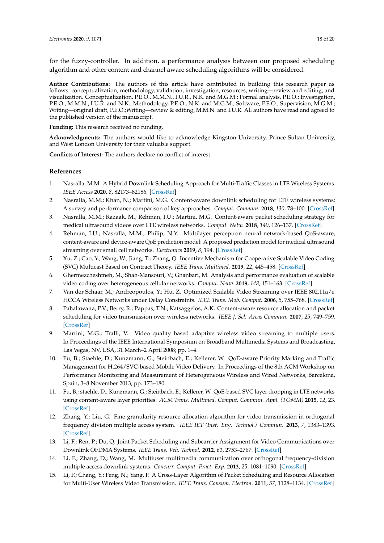for the fuzzy-controller. In addition, a performance analysis between our proposed scheduling algorithm and other content and channel aware scheduling algorithms will be considered.

**Author Contributions:** The authors of this article have contributed in building this research paper as follows: conceptualization, methodology, validation, investigation, resources, writing—review and editing, and visualization. Conceptualization, P.E.O., M.M.N., I.U.R., N.K. and M.G.M.; Formal analysis, P.E.O.; Investigation, P.E.O., M.M.N., I.U.R. and N.K.; Methodology, P.E.O., N.K. and M.G.M.; Software, P.E.O.; Supervision, M.G.M.; Writing—original draft, P.E.O.;Writing—review & editing, M.M.N. and I.U.R. All authors have read and agreed to the published version of the manuscript.

**Funding:** This research received no funding.

**Acknowledgments:** The authors would like to acknowledge Kingston University, Prince Sultan University, and West London University for their valuable support.

**Conflicts of Interest:** The authors declare no conflict of interest.

# **References**

- <span id="page-17-0"></span>1. Nasralla, M.M. A Hybrid Downlink Scheduling Approach for Multi-Traffic Classes in LTE Wireless Systems. *IEEE Access* **2020**, *8*, 82173–82186. [\[CrossRef\]](http://dx.doi.org/10.1109/ACCESS.2020.2990381)
- <span id="page-17-1"></span>2. Nasralla, M.M.; Khan, N.; Martini, M.G. Content-aware downlink scheduling for LTE wireless systems: A survey and performance comparison of key approaches. *Comput. Commun.* **2018**, *130*, 78–100. [\[CrossRef\]](http://dx.doi.org/10.1016/j.comcom.2018.08.009)
- <span id="page-17-6"></span>3. Nasralla, M.M.; Razaak, M.; Rehman, I.U.; Martini, M.G. Content-aware packet scheduling strategy for medical ultrasound videos over LTE wireless networks. *Comput. Netw.* **2018**, *140*, 126–137. [\[CrossRef\]](http://dx.doi.org/10.1016/j.comnet.2018.05.014)
- 4. Rehman, I.U.; Nasralla, M.M.; Philip, N.Y. Multilayer perceptron neural network-based QoS-aware, content-aware and device-aware QoE prediction model: A proposed prediction model for medical ultrasound streaming over small cell networks. *Electronics* **2019**, *8*, 194. [\[CrossRef\]](http://dx.doi.org/10.3390/electronics8020194)
- 5. Xu, Z.; Cao, Y.; Wang, W.; Jiang, T.; Zhang, Q. Incentive Mechanism for Cooperative Scalable Video Coding (SVC) Multicast Based on Contract Theory. *IEEE Trans. Multimed.* **2019**, *22*, 445–458. [\[CrossRef\]](http://dx.doi.org/10.1109/TMM.2019.2929965)
- 6. Ghermezcheshmeh, M.; Shah-Mansouri, V.; Ghanbari, M. Analysis and performance evaluation of scalable video coding over heterogeneous cellular networks. *Comput. Netw.* **2019**, *148*, 151–163. [\[CrossRef\]](http://dx.doi.org/10.1016/j.comnet.2018.10.020)
- 7. Van der Schaar, M.; Andreopoulos, Y.; Hu, Z. Optimized Scalable Video Streaming over IEEE 802.11a/e HCCA Wireless Networks under Delay Constraints. *IEEE Trans. Mob. Comput.* **2006**, *5*, 755–768. [\[CrossRef\]](http://dx.doi.org/10.1109/TMC.2006.81)
- <span id="page-17-7"></span>8. Pahalawatta, P.V.; Berry, R.; Pappas, T.N.; Katsaggelos, A.K. Content-aware resource allocation and packet scheduling for video transmission over wireless networks. *IEEE J. Sel. Areas Commun.* **2007**, *25*, 749–759. [\[CrossRef\]](http://dx.doi.org/10.1109/JSAC.2007.070511)
- <span id="page-17-2"></span>9. Martini, M.G.; Tralli, V. Video quality based adaptive wireless video streaming to multiple users. In Proceedings of the IEEE International Symposium on Broadband Multimedia Systems and Broadcasting, Las Vegas, NV, USA, 31 March–2 April 2008; pp. 1–4.
- <span id="page-17-3"></span>10. Fu, B.; Staehle, D.; Kunzmann, G.; Steinbach, E.; Kellerer, W. QoE-aware Priority Marking and Traffic Management for H.264/SVC-based Mobile Video Delivery. In Proceedings of the 8th ACM Workshop on Performance Monitoring and Measurement of Heterogeneous Wireless and Wired Networks, Barcelona, Spain, 3–8 November 2013; pp. 173–180.
- <span id="page-17-4"></span>11. Fu, B.; staehle, D.; Kunzmann, G.; Steinbach, E.; Kellerer, W. QoE-based SVC layer dropping in LTE networks using content-aware layer priorities. *ACM Trans. Multimed. Comput. Commun. Appl. (TOMM)* **2015**, *12*, 23. [\[CrossRef\]](http://dx.doi.org/10.1145/2754167)
- <span id="page-17-5"></span>12. Zhang, Y.; Liu, G. Fine granularity resource allocation algorithm for video transmission in orthogonal frequency division multiple access system. *IEEE IET (Inst. Eng. Technol.) Commun.* **2013**, *7*, 1383–1393. [\[CrossRef\]](http://dx.doi.org/10.1049/iet-com.2012.0602)
- 13. Li, F.; Ren, P.; Du, Q. Joint Packet Scheduling and Subcarrier Assignment for Video Communications over Downlink OFDMA Systems. *IEEE Trans. Veh. Technol.* **2012**, *61*, 2753–2767. [\[CrossRef\]](http://dx.doi.org/10.1109/TVT.2012.2195511)
- 14. Li, F.; Zhang, D.; Wang, M. Multiuser multimedia communication over orthogonal frequency-division multiple access downlink systems. *Concurr. Comput. Pract. Exp.* **2013**, *25*, 1081–1090. [\[CrossRef\]](http://dx.doi.org/10.1002/cpe.2880)
- 15. Li, P.; Chang, Y.; Feng, N.; Yang, F. A Cross-Layer Algorithm of Packet Scheduling and Resource Allocation for Multi-User Wireless Video Transmission. *IEEE Trans. Consum. Electron.* **2011**, *57*, 1128–1134. [\[CrossRef\]](http://dx.doi.org/10.1109/TCE.2011.6018865)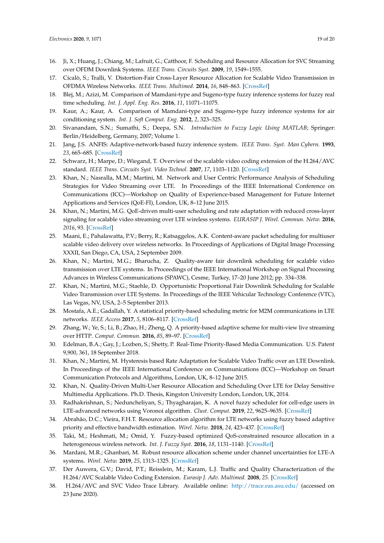- 16. Ji, X.; Huang, J.; Chiang, M.; Lafruit, G.; Catthoor, F. Scheduling and Resource Allocation for SVC Streaming over OFDM Downlink Systems. *IEEE Trans. Circuits Syst.* **2009**, *19*, 1549–1555.
- <span id="page-18-0"></span>17. Cicalò, S.; Tralli, V. Distortion-Fair Cross-Layer Resource Allocation for Scalable Video Transmission in OFDMA Wireless Networks. *IEEE Trans. Multimed.* **2014**, *16*, 848–863. [\[CrossRef\]](http://dx.doi.org/10.1109/TMM.2014.2300442)
- <span id="page-18-1"></span>18. Blej, M.; Azizi, M. Comparison of Mamdani-type and Sugeno-type fuzzy inference systems for fuzzy real time scheduling. *Int. J. Appl. Eng. Res.* **2016**, *11*, 11071–11075.
- <span id="page-18-2"></span>19. Kaur, A.; Kaur, A. Comparison of Mamdani-type and Sugeno-type fuzzy inference systems for air conditioning system. *Int. J. Soft Comput. Eng.* **2012**, *2*, 323–325.
- <span id="page-18-3"></span>20. Sivanandam, S.N.; Sumathi, S.; Deepa, S.N. *Introduction to Fuzzy Logic Using MATLAB*; Springer: Berlin/Heidelberg, Germany, 2007; Volume 1.
- <span id="page-18-4"></span>21. Jang, J.S. ANFIS: Adaptive-network-based fuzzy inference system. *IEEE Trans. Syst. Man Cybern.* **1993**, *23*, 665–685. [\[CrossRef\]](http://dx.doi.org/10.1109/21.256541)
- <span id="page-18-5"></span>22. Schwarz, H.; Marpe, D.; Wiegand, T. Overview of the scalable video coding extension of the H.264/AVC standard. *IEEE Trans. Circuits Syst. Video Technol.* **2007**, *17*, 1103–1120. [\[CrossRef\]](http://dx.doi.org/10.1109/TCSVT.2007.905532)
- <span id="page-18-6"></span>23. Khan, N.; Nasralla, M.M.; Martini, M. Network and User Centric Performance Analysis of Scheduling Strategies for Video Streaming over LTE. In Proceedings of the IEEE International Conference on Communications (ICC)—Workshop on Quality of Experience-based Management for Future Internet Applications and Services (QoE-FI), London, UK, 8–12 June 2015.
- <span id="page-18-7"></span>24. Khan, N.; Martini, M.G. QoE-driven multi-user scheduling and rate adaptation with reduced cross-layer signaling for scalable video streaming over LTE wireless systems. *EURASIP J. Wirel. Commun. Netw.* **2016**, *2016*, 93. [\[CrossRef\]](http://dx.doi.org/10.1186/s13638-016-0584-6)
- <span id="page-18-8"></span>25. Maani, E.; Pahalawatta, P.V.; Berry, R.; Katsaggelos, A.K. Content-aware packet scheduling for multiuser scalable video delivery over wireless networks. In Proceedings of Applications of Digital Image Processing XXXII, San Diego, CA, USA, 2 September 2009.
- <span id="page-18-9"></span>26. Khan, N.; Martini, M.G.; Bharucha, Z. Quality-aware fair downlink scheduling for scalable video transmission over LTE systems. In Proceedings of the IEEE International Workshop on Signal Processing Advances in Wireless Communications (SPAWC), Cesme, Turkey, 17–20 June 2012; pp. 334–338.
- <span id="page-18-10"></span>27. Khan, N.; Martini, M.G.; Staehle, D. Opportunistic Proportional Fair Downlink Scheduling for Scalable Video Transmission over LTE Systems. In Proceedings of the IEEE Vehicular Technology Conference (VTC), Las Vegas, NV, USA, 2–5 September 2013.
- <span id="page-18-11"></span>28. Mostafa, A.E.; Gadallah, Y. A statistical priority-based scheduling metric for M2M communications in LTE networks. *IEEE Access* **2017**, *5*, 8106–8117. [\[CrossRef\]](http://dx.doi.org/10.1109/ACCESS.2017.2700409)
- 29. Zhang, W.; Ye, S.; Li, B.; Zhao, H.; Zheng, Q. A priority-based adaptive scheme for multi-view live streaming over HTTP. *Comput. Commun.* **2016**, *85*, 89–97. [\[CrossRef\]](http://dx.doi.org/10.1016/j.comcom.2016.04.001)
- <span id="page-18-12"></span>30. Edelman, B.A.; Gay, J.; Lozben, S.; Shetty, P. Real-Time Priority-Based Media Communication. U.S. Patent 9,900, 361, 18 September 2018.
- <span id="page-18-13"></span>31. Khan, N.; Martini, M. Hysteresis based Rate Adaptation for Scalable Video Traffic over an LTE Downlink. In Proceedings of the IEEE International Conference on Communications (ICC)—Workshop on Smart Communication Protocols and Algorithms, London, UK, 8–12 June 2015.
- <span id="page-18-14"></span>32. Khan, N. Quality-Driven Multi-User Resource Allocation and Scheduling Over LTE for Delay Sensitive Multimedia Applications. Ph.D. Thesis, Kingston University London, London, UK, 2014.
- <span id="page-18-15"></span>33. Radhakrishnan, S.; Neduncheliyan, S.; Thyagharajan, K. A novel fuzzy scheduler for cell-edge users in LTE-advanced networks using Voronoi algorithm. *Clust. Comput.* **2019**, *22*, 9625–9635. [\[CrossRef\]](http://dx.doi.org/10.1007/s10586-017-1314-5)
- <span id="page-18-16"></span>34. Abrahão, D.C.; Vieira, F.H.T. Resource allocation algorithm for LTE networks using fuzzy based adaptive priority and effective bandwidth estimation. *Wirel. Netw.* **2018**, *24*, 423–437. [\[CrossRef\]](http://dx.doi.org/10.1007/s11276-016-1344-6)
- <span id="page-18-17"></span>35. Taki, M.; Heshmati, M.; Omid, Y. Fuzzy-based optimized QoS-constrained resource allocation in a heterogeneous wireless network. *Int. J. Fuzzy Syst.* **2016**, *18*, 1131–1140. [\[CrossRef\]](http://dx.doi.org/10.1007/s40815-016-0152-6)
- <span id="page-18-18"></span>36. Mardani, M.R.; Ghanbari, M. Robust resource allocation scheme under channel uncertainties for LTE-A systems. *Wirel. Netw.* **2019**, *25*, 1313–1325. [\[CrossRef\]](http://dx.doi.org/10.1007/s11276-018-1740-1)
- <span id="page-18-19"></span>37. Der Auwera, G.V.; David, P.T.; Reisslein, M.; Karam, L.J. Traffic and Quality Characterization of the H.264/AVC Scalable Video Coding Extension. *Eurasip J. Adv. Multimed.* **2008**, *25*. [\[CrossRef\]](http://dx.doi.org/10.1155/2008/164027)
- <span id="page-18-20"></span>38. H.264/AVC and SVC Video Trace Library. Available online: <http://trace.eas.asu.edu/> (accessed on 23 June 2020).